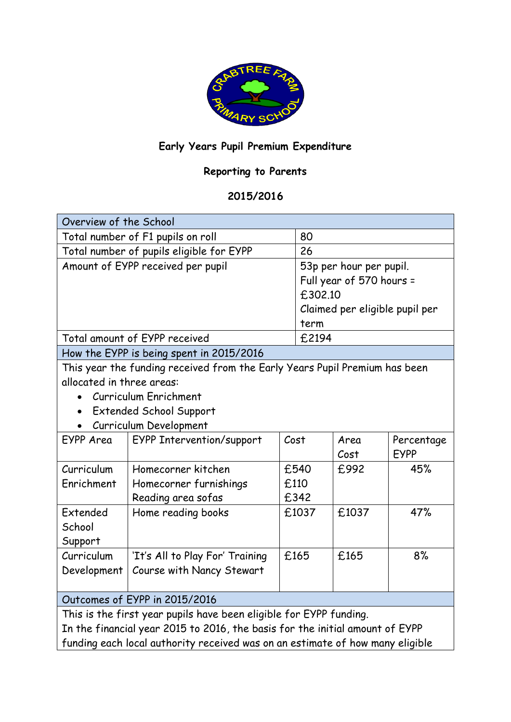

## **Early Years Pupil Premium Expenditure**

## **Reporting to Parents**

## **2015/2016**

| Overview of the School                                                        |                                  |      |                                |       |             |
|-------------------------------------------------------------------------------|----------------------------------|------|--------------------------------|-------|-------------|
| Total number of F1 pupils on roll                                             |                                  |      | 80                             |       |             |
| Total number of pupils eligible for EYPP                                      |                                  |      | 26                             |       |             |
| Amount of EYPP received per pupil                                             |                                  |      | 53p per hour per pupil.        |       |             |
|                                                                               |                                  |      | Full year of 570 hours =       |       |             |
|                                                                               |                                  |      | £302.10                        |       |             |
|                                                                               |                                  |      | Claimed per eligible pupil per |       |             |
|                                                                               |                                  |      | term                           |       |             |
| Total amount of EYPP received                                                 |                                  |      | £2194                          |       |             |
| How the EYPP is being spent in 2015/2016                                      |                                  |      |                                |       |             |
| This year the funding received from the Early Years Pupil Premium has been    |                                  |      |                                |       |             |
| allocated in three areas:                                                     |                                  |      |                                |       |             |
| Curriculum Enrichment                                                         |                                  |      |                                |       |             |
| <b>Extended School Support</b>                                                |                                  |      |                                |       |             |
| Curriculum Development                                                        |                                  |      |                                |       |             |
| EYPP Area                                                                     | <b>EYPP Intervention/support</b> | Cost |                                | Area  | Percentage  |
|                                                                               |                                  |      |                                | Cost  | <b>EYPP</b> |
| Curriculum                                                                    | Homecorner kitchen               |      | £540                           | £992  | 45%         |
| Enrichment                                                                    | Homecorner furnishings           |      | £110                           |       |             |
|                                                                               | Reading area sofas               |      | £342                           |       |             |
| Extended                                                                      | Home reading books               |      | £1037                          | £1037 | 47%         |
| School                                                                        |                                  |      |                                |       |             |
| Support                                                                       |                                  |      |                                |       |             |
| Curriculum                                                                    | 'It's All to Play For' Training  |      | £165                           | £165  | 8%          |
| Development                                                                   | Course with Nancy Stewart        |      |                                |       |             |
|                                                                               |                                  |      |                                |       |             |
| Outcomes of EYPP in 2015/2016                                                 |                                  |      |                                |       |             |
| This is the first year pupils have been eligible for EYPP funding.            |                                  |      |                                |       |             |
| In the financial year 2015 to 2016, the basis for the initial amount of EYPP  |                                  |      |                                |       |             |
| funding each local authority received was on an estimate of how many eligible |                                  |      |                                |       |             |